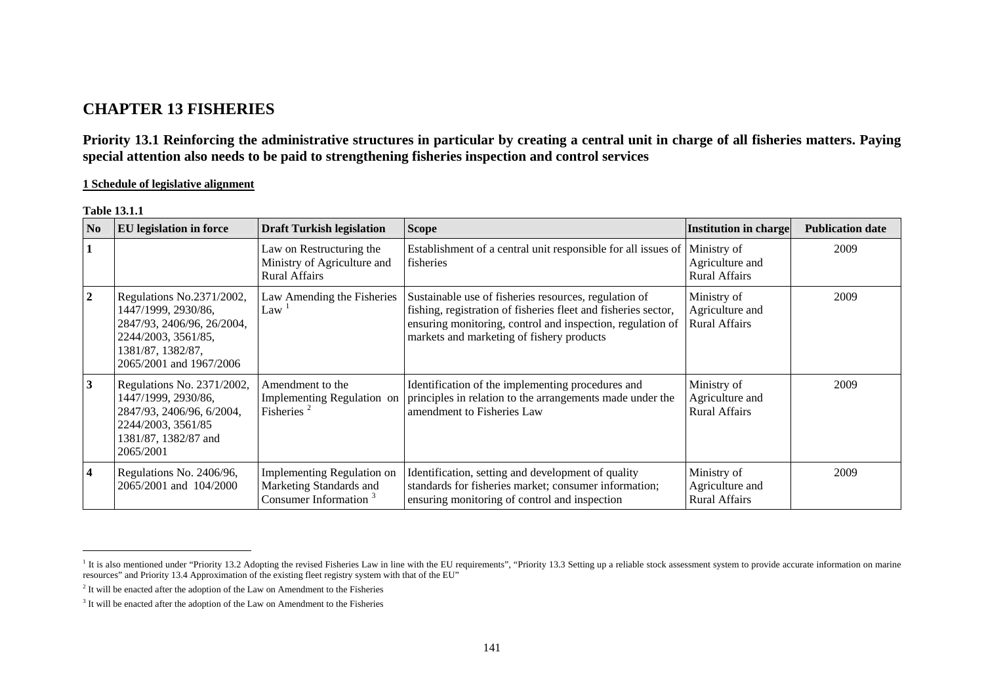# **CHAPTER 13 FISHERIES**

**Priority 13.1 Reinforcing the administrative structures in particular by creating a central unit in charge of all fisheries matters. Paying special attention also needs to be paid to strengthening fisheries inspection and control services** 

**1 Schedule of legislative alignment**

| <b>Table 13.1.1</b> |  |
|---------------------|--|
|---------------------|--|

| N <sub>0</sub> | <b>EU</b> legislation in force                                                                                                                        | <b>Draft Turkish legislation</b>                                                           | <b>Scope</b>                                                                                                                                                                                                                       | <b>Institution in charge</b>                           | <b>Publication date</b> |
|----------------|-------------------------------------------------------------------------------------------------------------------------------------------------------|--------------------------------------------------------------------------------------------|------------------------------------------------------------------------------------------------------------------------------------------------------------------------------------------------------------------------------------|--------------------------------------------------------|-------------------------|
|                |                                                                                                                                                       | Law on Restructuring the<br>Ministry of Agriculture and<br><b>Rural Affairs</b>            | Establishment of a central unit responsible for all issues of<br>fisheries                                                                                                                                                         | Ministry of<br>Agriculture and<br><b>Rural Affairs</b> | 2009                    |
| $\overline{2}$ | Regulations No.2371/2002,<br>1447/1999, 2930/86,<br>2847/93, 2406/96, 26/2004,<br>2244/2003, 3561/85,<br>1381/87, 1382/87,<br>2065/2001 and 1967/2006 | Law Amending the Fisheries<br>Law                                                          | Sustainable use of fisheries resources, regulation of<br>fishing, registration of fisheries fleet and fisheries sector,<br>ensuring monitoring, control and inspection, regulation of<br>markets and marketing of fishery products | Ministry of<br>Agriculture and<br><b>Rural Affairs</b> | 2009                    |
| 3              | Regulations No. 2371/2002,<br>1447/1999, 2930/86,<br>2847/93, 2406/96, 6/2004,<br>2244/2003, 3561/85<br>1381/87, 1382/87 and<br>2065/2001             | Amendment to the<br>Implementing Regulation on<br>Fisheries <sup>2</sup>                   | Identification of the implementing procedures and<br>principles in relation to the arrangements made under the<br>amendment to Fisheries Law                                                                                       | Ministry of<br>Agriculture and<br><b>Rural Affairs</b> | 2009                    |
| 4              | Regulations No. 2406/96,<br>2065/2001 and 104/2000                                                                                                    | Implementing Regulation on<br>Marketing Standards and<br>Consumer Information <sup>3</sup> | Identification, setting and development of quality<br>standards for fisheries market; consumer information;<br>ensuring monitoring of control and inspection                                                                       | Ministry of<br>Agriculture and<br><b>Rural Affairs</b> | 2009                    |

<span id="page-0-0"></span>It is also mentioned under "Priority 13.2 Adopting the revised Fisheries Law in line with the EU requirements", "Priority 13.3 Setting up a reliable stock assessment system to provide accurate information on marine resources" and Priority 13.4 Approximation of the existing fleet registry system with that of the EU"

<span id="page-0-1"></span> $2$  It will be enacted after the adoption of the Law on Amendment to the Fisheries

<span id="page-0-2"></span> $3$  It will be enacted after the adoption of the Law on Amendment to the Fisheries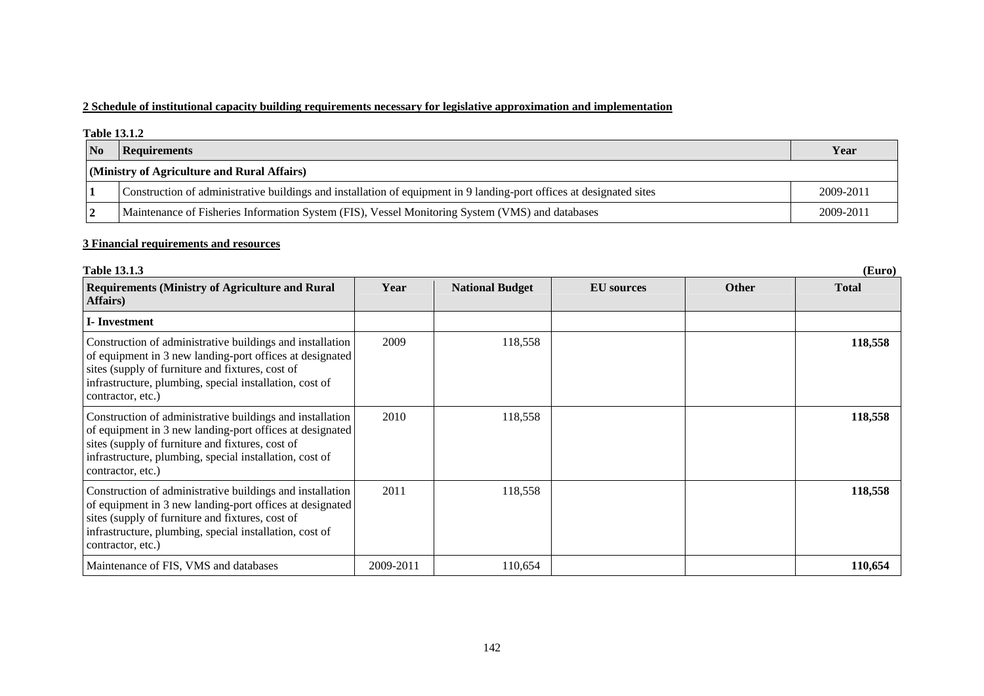### **2 Schedule of institutional capacity building requirements necessary for legislative approximation and implementation**

#### **Table 13.1.2**

| N <sub>0</sub> | Requirements                                                                                                         | Year      |
|----------------|----------------------------------------------------------------------------------------------------------------------|-----------|
|                | (Ministry of Agriculture and Rural Affairs)                                                                          |           |
|                | Construction of administrative buildings and installation of equipment in 9 landing-port offices at designated sites | 2009-2011 |
|                | Maintenance of Fisheries Information System (FIS), Vessel Monitoring System (VMS) and databases                      | 2009-2011 |

### **3 Financial requirements and resources**

| <b>Table 13.1.3</b><br>(Euro)                                                                                                                                                                                                                             |           |                        |                   |              |              |  |
|-----------------------------------------------------------------------------------------------------------------------------------------------------------------------------------------------------------------------------------------------------------|-----------|------------------------|-------------------|--------------|--------------|--|
| <b>Requirements (Ministry of Agriculture and Rural</b><br>Affairs)                                                                                                                                                                                        | Year      | <b>National Budget</b> | <b>EU</b> sources | <b>Other</b> | <b>Total</b> |  |
| I-Investment                                                                                                                                                                                                                                              |           |                        |                   |              |              |  |
| Construction of administrative buildings and installation<br>of equipment in 3 new landing-port offices at designated<br>sites (supply of furniture and fixtures, cost of<br>infrastructure, plumbing, special installation, cost of<br>contractor, etc.) | 2009      | 118,558                |                   |              | 118,558      |  |
| Construction of administrative buildings and installation<br>of equipment in 3 new landing-port offices at designated<br>sites (supply of furniture and fixtures, cost of<br>infrastructure, plumbing, special installation, cost of<br>contractor, etc.) | 2010      | 118,558                |                   |              | 118,558      |  |
| Construction of administrative buildings and installation<br>of equipment in 3 new landing-port offices at designated<br>sites (supply of furniture and fixtures, cost of<br>infrastructure, plumbing, special installation, cost of<br>contractor, etc.) | 2011      | 118,558                |                   |              | 118,558      |  |
| Maintenance of FIS, VMS and databases                                                                                                                                                                                                                     | 2009-2011 | 110,654                |                   |              | 110,654      |  |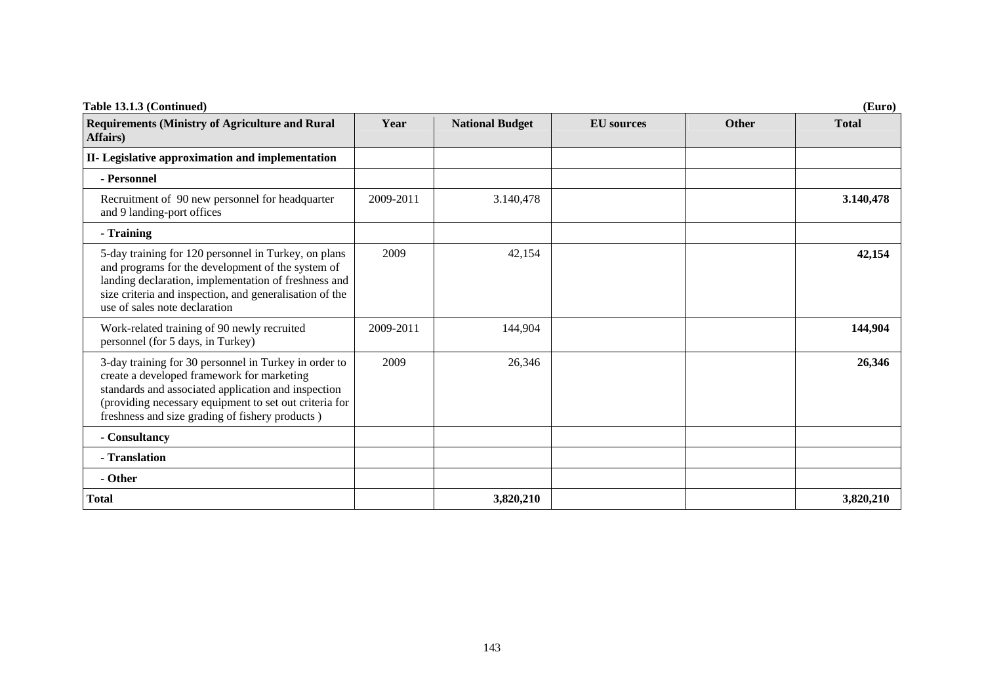| Table 13.1.3 (Continued)                                                                                                                                                                                                                                                |           |                        |                   |              | (Euro)       |
|-------------------------------------------------------------------------------------------------------------------------------------------------------------------------------------------------------------------------------------------------------------------------|-----------|------------------------|-------------------|--------------|--------------|
| <b>Requirements (Ministry of Agriculture and Rural</b><br>Affairs)                                                                                                                                                                                                      | Year      | <b>National Budget</b> | <b>EU</b> sources | <b>Other</b> | <b>Total</b> |
| II- Legislative approximation and implementation                                                                                                                                                                                                                        |           |                        |                   |              |              |
| - Personnel                                                                                                                                                                                                                                                             |           |                        |                   |              |              |
| Recruitment of 90 new personnel for headquarter<br>and 9 landing-port offices                                                                                                                                                                                           | 2009-2011 | 3.140,478              |                   |              | 3.140,478    |
| - Training                                                                                                                                                                                                                                                              |           |                        |                   |              |              |
| 5-day training for 120 personnel in Turkey, on plans<br>and programs for the development of the system of<br>landing declaration, implementation of freshness and<br>size criteria and inspection, and generalisation of the<br>use of sales note declaration           | 2009      | 42,154                 |                   |              | 42,154       |
| Work-related training of 90 newly recruited<br>personnel (for 5 days, in Turkey)                                                                                                                                                                                        | 2009-2011 | 144,904                |                   |              | 144,904      |
| 3-day training for 30 personnel in Turkey in order to<br>create a developed framework for marketing<br>standards and associated application and inspection<br>(providing necessary equipment to set out criteria for<br>freshness and size grading of fishery products) | 2009      | 26,346                 |                   |              | 26,346       |
| - Consultancy                                                                                                                                                                                                                                                           |           |                        |                   |              |              |
| - Translation                                                                                                                                                                                                                                                           |           |                        |                   |              |              |
| - Other                                                                                                                                                                                                                                                                 |           |                        |                   |              |              |
| <b>Total</b>                                                                                                                                                                                                                                                            |           | 3,820,210              |                   |              | 3,820,210    |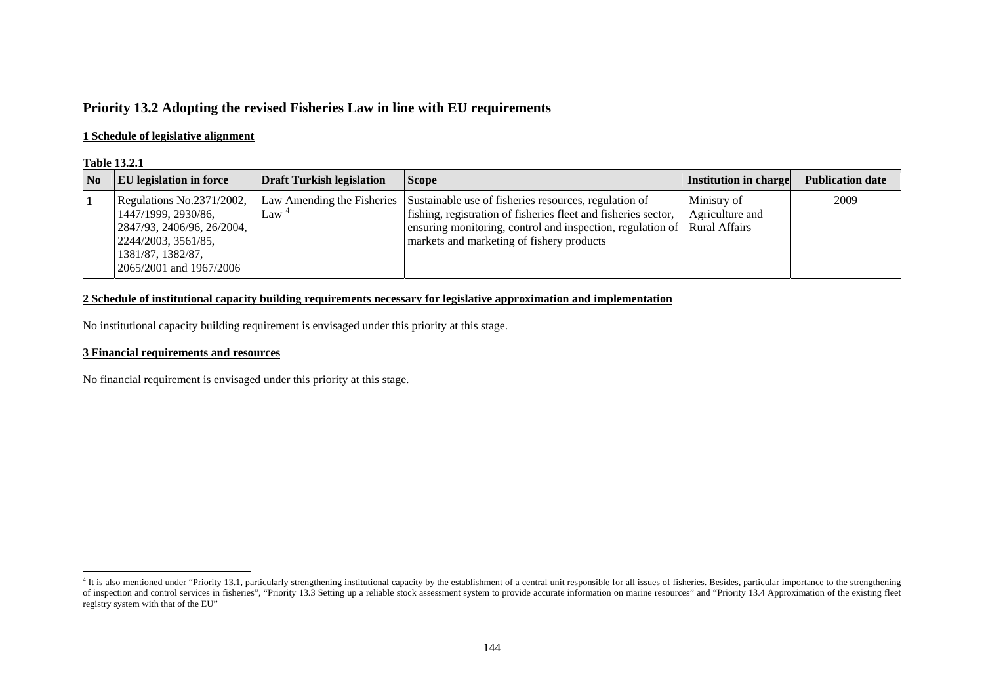# **Priority 13.2 Adopting the revised Fisheries Law in line with EU requirements**

### **1 Schedule of legislative alignment**

### **Table 13.2.1**

| $\overline{\mathbf{N}}$ | <b>EU</b> legislation in force                                                                                                                        | <b>Draft Turkish legislation</b> | <b>Scope</b>                                                                                                                                                                                                                                                                | <b>Institution in charge</b>   | <b>Publication date</b> |
|-------------------------|-------------------------------------------------------------------------------------------------------------------------------------------------------|----------------------------------|-----------------------------------------------------------------------------------------------------------------------------------------------------------------------------------------------------------------------------------------------------------------------------|--------------------------------|-------------------------|
|                         | Regulations No.2371/2002,<br>1447/1999, 2930/86,<br>2847/93, 2406/96, 26/2004,<br>2244/2003, 3561/85,<br>1381/87, 1382/87,<br>2065/2001 and 1967/2006 | Law <sup>4</sup>                 | Law Amending the Fisheries Sustainable use of fisheries resources, regulation of<br>fishing, registration of fisheries fleet and fisheries sector,<br>ensuring monitoring, control and inspection, regulation of Rural Affairs<br>markets and marketing of fishery products | Ministry of<br>Agriculture and | 2009                    |

### **2 Schedule of institutional capacity building requirements necessary for legislative approximation and implementation**

No institutional capacity building requirement is envisaged under this priority at this stage.

### **3 Financial requirements and resources**

No financial requirement is envisaged under this priority at this stage.

<span id="page-3-0"></span><sup>&</sup>lt;sup>4</sup> It is also mentioned under "Priority 13.1, particularly strengthening institutional capacity by the establishment of a central unit responsible for all issues of fisheries. Besides, particular importance to the strengt of inspection and control services in fisheries", "Priority 13.3 Setting up a reliable stock assessment system to provide accurate information on marine resources" and "Priority 13.4 Approximation of the existing fleet registry system with that of the EU"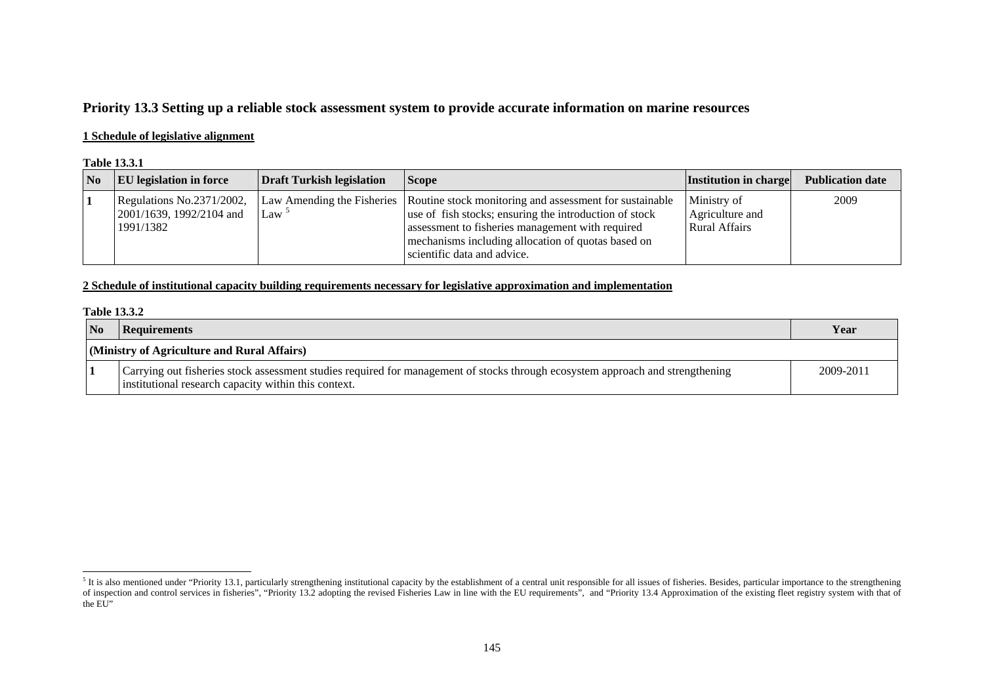# **Priority 13.3 Setting up a reliable stock assessment system to provide accurate information on marine resources**

### **1 Schedule of legislative alignment**

#### **Table 13.3.1**

| No | <b>EU</b> legislation in force                                     | Draft Turkish legislation | <b>Scope</b>                                                                                                                                                                                                                                                                            | <b>Institution in charge</b>                           | <b>Publication date</b> |
|----|--------------------------------------------------------------------|---------------------------|-----------------------------------------------------------------------------------------------------------------------------------------------------------------------------------------------------------------------------------------------------------------------------------------|--------------------------------------------------------|-------------------------|
|    | Regulations No.2371/2002,<br>2001/1639, 1992/2104 and<br>1991/1382 | $\text{Law}$ <sup>3</sup> | Law Amending the Fisheries   Routine stock monitoring and assessment for sustainable<br>use of fish stocks; ensuring the introduction of stock<br>assessment to fisheries management with required<br>mechanisms including allocation of quotas based on<br>scientific data and advice. | Ministry of<br>Agriculture and<br><b>Rural Affairs</b> | 2009                    |

### **2 Schedule of institutional capacity building requirements necessary for legislative approximation and implementation**

#### **Table 13.3.2**

| N <sub>o</sub> | <b>Requirements</b>                                                                                                                                                                    | Year      |
|----------------|----------------------------------------------------------------------------------------------------------------------------------------------------------------------------------------|-----------|
|                | (Ministry of Agriculture and Rural Affairs)                                                                                                                                            |           |
|                | Carrying out fisheries stock assessment studies required for management of stocks through ecosystem approach and strengthening<br>institutional research capacity within this context. | 2009-2011 |

<span id="page-4-0"></span><sup>&</sup>lt;sup>5</sup> It is also mentioned under "Priority 13.1, particularly strengthening institutional capacity by the establishment of a central unit responsible for all issues of fisheries. Besides, particular importance to the strengt of inspection and control services in fisheries", "Priority 13.2 adopting the revised Fisheries Law in line with the EU requirements", and "Priority 13.4 Approximation of the existing fleet registry system with that of the EU"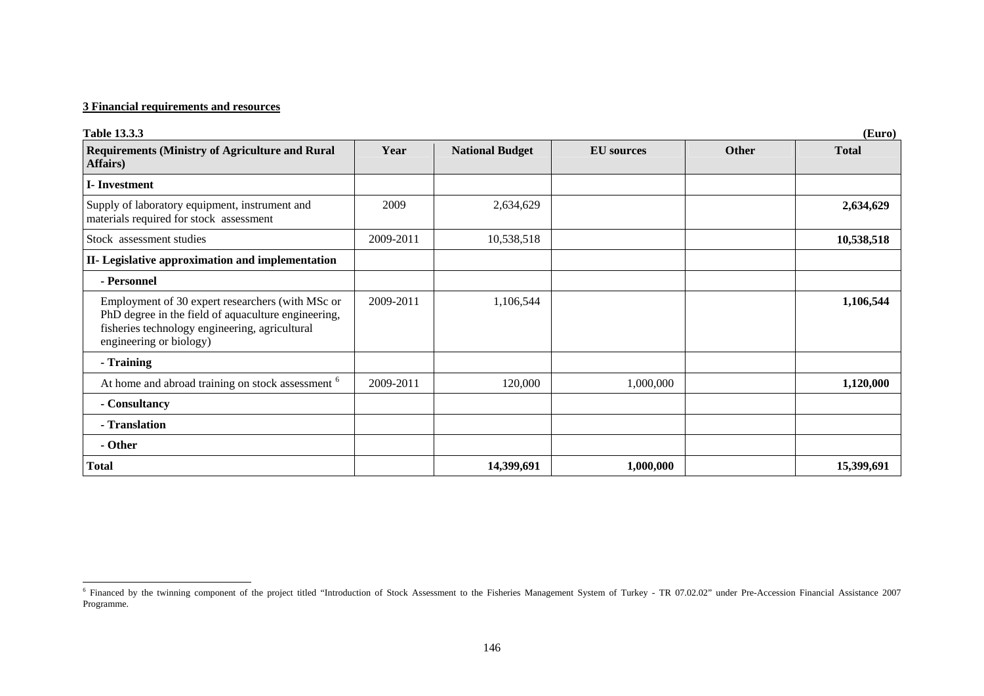### **3 Financial requirements and resources**

| <b>Table 13.3.3</b>                                                                                                                                                                  |           |                        |                   |              | (Euro)       |
|--------------------------------------------------------------------------------------------------------------------------------------------------------------------------------------|-----------|------------------------|-------------------|--------------|--------------|
| <b>Requirements (Ministry of Agriculture and Rural</b><br>Affairs)                                                                                                                   | Year      | <b>National Budget</b> | <b>EU</b> sources | <b>Other</b> | <b>Total</b> |
| <b>I</b> -Investment                                                                                                                                                                 |           |                        |                   |              |              |
| Supply of laboratory equipment, instrument and<br>materials required for stock assessment                                                                                            | 2009      | 2,634,629              |                   |              | 2,634,629    |
| Stock assessment studies                                                                                                                                                             | 2009-2011 | 10,538,518             |                   |              | 10,538,518   |
| II- Legislative approximation and implementation                                                                                                                                     |           |                        |                   |              |              |
| - Personnel                                                                                                                                                                          |           |                        |                   |              |              |
| Employment of 30 expert researchers (with MSc or<br>PhD degree in the field of aquaculture engineering,<br>fisheries technology engineering, agricultural<br>engineering or biology) | 2009-2011 | 1,106,544              |                   |              | 1,106,544    |
| - Training                                                                                                                                                                           |           |                        |                   |              |              |
| At home and abroad training on stock assessment <sup>6</sup>                                                                                                                         | 2009-2011 | 120,000                | 1,000,000         |              | 1,120,000    |
| - Consultancy                                                                                                                                                                        |           |                        |                   |              |              |
| - Translation                                                                                                                                                                        |           |                        |                   |              |              |
| - Other                                                                                                                                                                              |           |                        |                   |              |              |
| <b>Total</b>                                                                                                                                                                         |           | 14,399,691             | 1,000,000         |              | 15,399,691   |

<span id="page-5-0"></span><sup>&</sup>lt;sup>6</sup> Financed by the twinning component of the project titled "Introduction of Stock Assessment to the Fisheries Management System of Turkey - TR 07.02.02" under Pre-Accession Financial Assistance 2007 Programme.